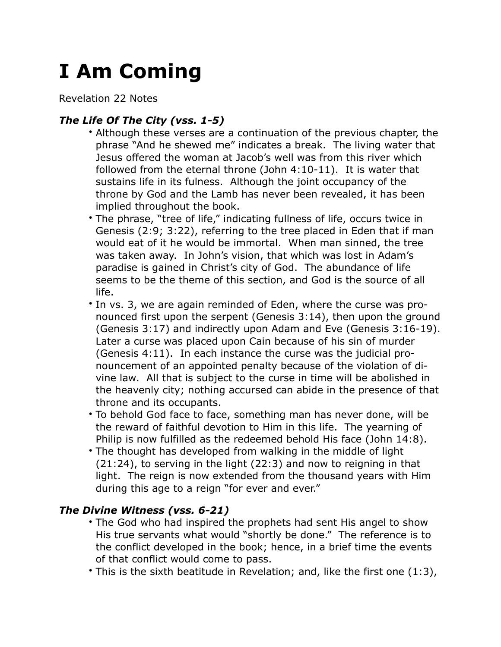## **I Am Coming**

Revelation 22 Notes

## *The Life Of The City (vss. 1-5)*

- Although these verses are a continuation of the previous chapter, the phrase "And he shewed me" indicates a break. The living water that Jesus offered the woman at Jacob's well was from this river which followed from the eternal throne (John 4:10-11). It is water that sustains life in its fulness. Although the joint occupancy of the throne by God and the Lamb has never been revealed, it has been implied throughout the book.
- The phrase, "tree of life," indicating fullness of life, occurs twice in Genesis (2:9; 3:22), referring to the tree placed in Eden that if man would eat of it he would be immortal. When man sinned, the tree was taken away. In John's vision, that which was lost in Adam's paradise is gained in Christ's city of God. The abundance of life seems to be the theme of this section, and God is the source of all life.
- In vs. 3, we are again reminded of Eden, where the curse was pronounced first upon the serpent (Genesis 3:14), then upon the ground (Genesis 3:17) and indirectly upon Adam and Eve (Genesis 3:16-19). Later a curse was placed upon Cain because of his sin of murder (Genesis 4:11). In each instance the curse was the judicial pronouncement of an appointed penalty because of the violation of divine law. All that is subject to the curse in time will be abolished in the heavenly city; nothing accursed can abide in the presence of that throne and its occupants.
- To behold God face to face, something man has never done, will be the reward of faithful devotion to Him in this life. The yearning of Philip is now fulfilled as the redeemed behold His face (John 14:8).
- The thought has developed from walking in the middle of light (21:24), to serving in the light (22:3) and now to reigning in that light. The reign is now extended from the thousand years with Him during this age to a reign "for ever and ever."

## *The Divine Witness (vss. 6-21)*

- The God who had inspired the prophets had sent His angel to show His true servants what would "shortly be done." The reference is to the conflict developed in the book; hence, in a brief time the events of that conflict would come to pass.
- This is the sixth beatitude in Revelation; and, like the first one (1:3),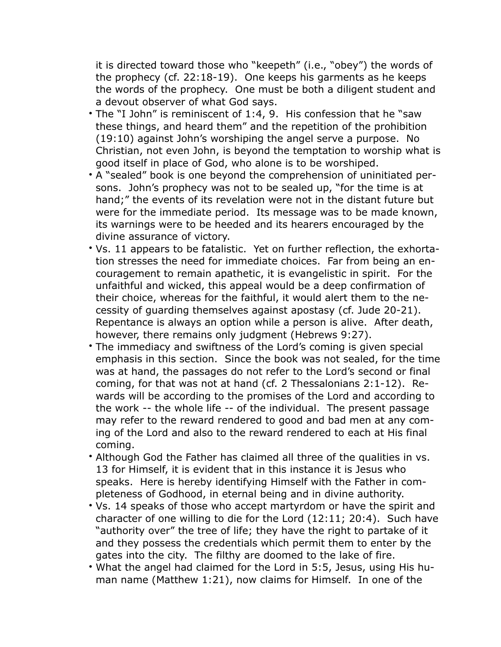it is directed toward those who "keepeth" (i.e., "obey") the words of the prophecy (cf. 22:18-19). One keeps his garments as he keeps the words of the prophecy. One must be both a diligent student and a devout observer of what God says.

- The "I John" is reminiscent of 1:4, 9. His confession that he "saw these things, and heard them" and the repetition of the prohibition (19:10) against John's worshiping the angel serve a purpose. No Christian, not even John, is beyond the temptation to worship what is good itself in place of God, who alone is to be worshiped.
- A "sealed" book is one beyond the comprehension of uninitiated persons. John's prophecy was not to be sealed up, "for the time is at hand;" the events of its revelation were not in the distant future but were for the immediate period. Its message was to be made known, its warnings were to be heeded and its hearers encouraged by the divine assurance of victory.
- Vs. 11 appears to be fatalistic. Yet on further reflection, the exhortation stresses the need for immediate choices. Far from being an encouragement to remain apathetic, it is evangelistic in spirit. For the unfaithful and wicked, this appeal would be a deep confirmation of their choice, whereas for the faithful, it would alert them to the necessity of guarding themselves against apostasy (cf. Jude 20-21). Repentance is always an option while a person is alive. After death, however, there remains only judgment (Hebrews 9:27).
- The immediacy and swiftness of the Lord's coming is given special emphasis in this section. Since the book was not sealed, for the time was at hand, the passages do not refer to the Lord's second or final coming, for that was not at hand (cf. 2 Thessalonians 2:1-12). Rewards will be according to the promises of the Lord and according to the work -- the whole life -- of the individual. The present passage may refer to the reward rendered to good and bad men at any coming of the Lord and also to the reward rendered to each at His final coming.
- Although God the Father has claimed all three of the qualities in vs. 13 for Himself, it is evident that in this instance it is Jesus who speaks. Here is hereby identifying Himself with the Father in completeness of Godhood, in eternal being and in divine authority.
- Vs. 14 speaks of those who accept martyrdom or have the spirit and character of one willing to die for the Lord (12:11; 20:4). Such have "authority over" the tree of life; they have the right to partake of it and they possess the credentials which permit them to enter by the gates into the city. The filthy are doomed to the lake of fire.
- What the angel had claimed for the Lord in 5:5, Jesus, using His human name (Matthew 1:21), now claims for Himself. In one of the